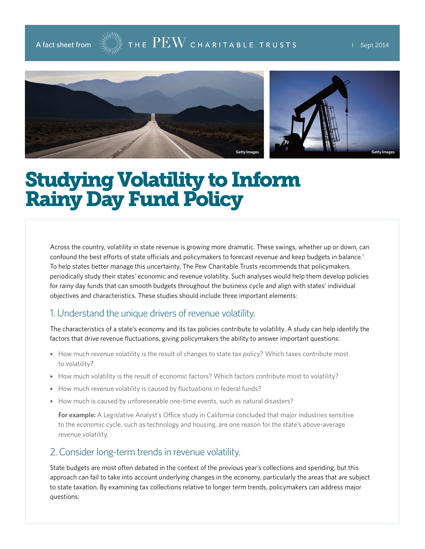## A fact sheet from  $\frac{1}{\sqrt{2}}$   $\frac{1}{\sqrt{2}}$   $\frac{1}{\sqrt{2}}$   $\frac{1}{\sqrt{2}}$   $\frac{1}{\sqrt{2}}$   $\frac{1}{\sqrt{2}}$   $\frac{1}{\sqrt{2}}$   $\frac{1}{\sqrt{2}}$   $\frac{1}{\sqrt{2}}$   $\frac{1}{\sqrt{2}}$   $\frac{1}{\sqrt{2}}$   $\frac{1}{\sqrt{2}}$   $\frac{1}{\sqrt{2}}$   $\frac{1}{\sqrt{2}}$   $\frac{1}{\sqrt{2}}$   $\frac{1}{\sqrt$





# Studying Volatility to Inform Rainy Day Fund Policy

Across the country, volatility in state revenue is growing more dramatic. These swings, whether up or down, can confound the best efforts of state officials and policymakers to forecast revenue and keep budgets in balance.1 To help states better manage this uncertainty, The Pew Charitable Trusts recommends that policymakers periodically study their states' economic and revenue volatility. Such analyses would help them develop policies for rainy day funds that can smooth budgets throughout the business cycle and align with states' individual objectives and characteristics. These studies should include three important elements:

#### 1. Understand the unique drivers of revenue volatility.

The characteristics of a state's economy and its tax policies contribute to volatility. A study can help identify the factors that drive revenue fluctuations, giving policymakers the ability to answer important questions:

- How much revenue volatility is the result of changes to state tax policy? Which taxes contribute most to volatility?
- How much volatility is the result of economic factors? Which factors contribute most to volatility?
- How much revenue volatility is caused by fluctuations in federal funds?
- How much is caused by unforeseeable one-time events, such as natural disasters?

**For example:** A Legislative Analyst's Office study in California concluded that major industries sensitive to the economic cycle, such as technology and housing, are one reason for the state's above-average revenue volatility.

#### 2. Consider long-term trends in revenue volatility.

State budgets are most often debated in the context of the previous year's collections and spending, but this approach can fail to take into account underlying changes in the economy, particularly the areas that are subject to state taxation. By examining tax collections relative to longer term trends, policymakers can address major questions: